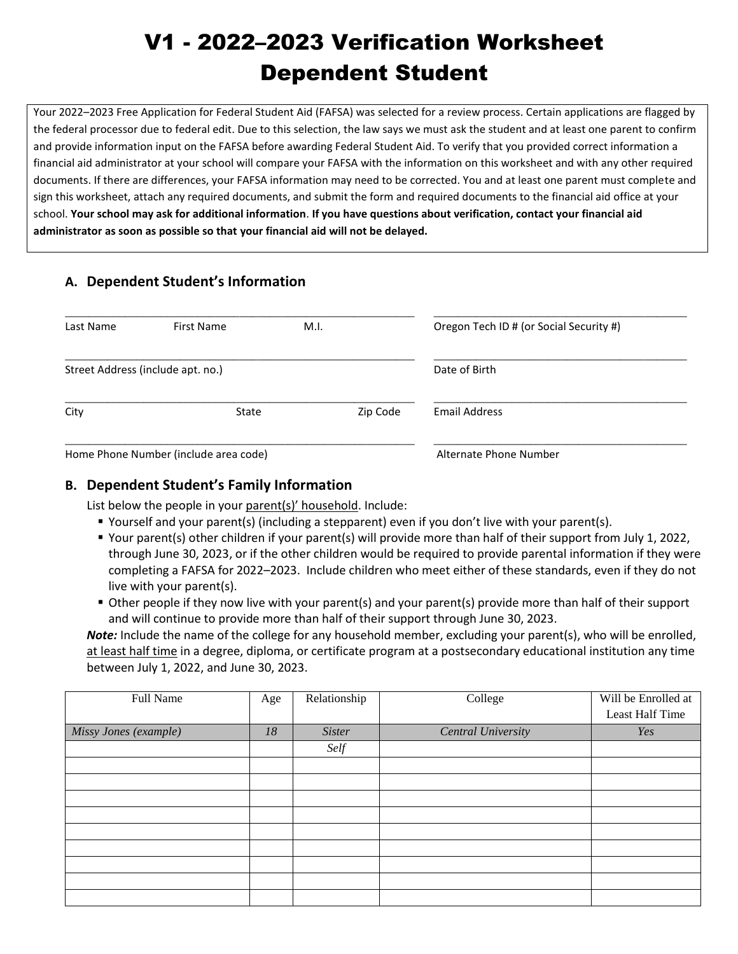# V1 - 2022–2023 Verification Worksheet Dependent Student

Your 2022–2023 Free Application for Federal Student Aid (FAFSA) was selected for a review process. Certain applications are flagged by the federal processor due to federal edit. Due to this selection, the law says we must ask the student and at least one parent to confirm and provide information input on the FAFSA before awarding Federal Student Aid. To verify that you provided correct information a financial aid administrator at your school will compare your FAFSA with the information on this worksheet and with any other required documents. If there are differences, your FAFSA information may need to be corrected. You and at least one parent must complete and sign this worksheet, attach any required documents, and submit the form and required documents to the financial aid office at your school. **Your school may ask for additional information**. **If you have questions about verification, contact your financial aid administrator as soon as possible so that your financial aid will not be delayed.**

## **A. Dependent Student's Information**

| Last Name | First Name                            | M.I.                   | Oregon Tech ID # (or Social Security #) |
|-----------|---------------------------------------|------------------------|-----------------------------------------|
|           | Street Address (include apt. no.)     | Date of Birth          |                                         |
| City      | State                                 | Zip Code               | Email Address                           |
|           | Home Phone Number (include area code) | Alternate Phone Number |                                         |

## **B. Dependent Student's Family Information**

List below the people in your parent(s)' household. Include:

- Yourself and your parent(s) (including a stepparent) even if you don't live with your parent(s).
- Your parent(s) other children if your parent(s) will provide more than half of their support from July 1, 2022, through June 30, 2023, or if the other children would be required to provide parental information if they were completing a FAFSA for 2022–2023. Include children who meet either of these standards, even if they do not live with your parent(s).
- Other people if they now live with your parent(s) and your parent(s) provide more than half of their support and will continue to provide more than half of their support through June 30, 2023.

*Note:* Include the name of the college for any household member, excluding your parent(s), who will be enrolled, at least half time in a degree, diploma, or certificate program at a postsecondary educational institution any time between July 1, 2022, and June 30, 2023.

| Full Name             | Age | Relationship  | College                   | Will be Enrolled at |
|-----------------------|-----|---------------|---------------------------|---------------------|
|                       |     |               |                           | Least Half Time     |
| Missy Jones (example) | 18  | <b>Sister</b> | <b>Central University</b> | Yes                 |
|                       |     | Self          |                           |                     |
|                       |     |               |                           |                     |
|                       |     |               |                           |                     |
|                       |     |               |                           |                     |
|                       |     |               |                           |                     |
|                       |     |               |                           |                     |
|                       |     |               |                           |                     |
|                       |     |               |                           |                     |
|                       |     |               |                           |                     |
|                       |     |               |                           |                     |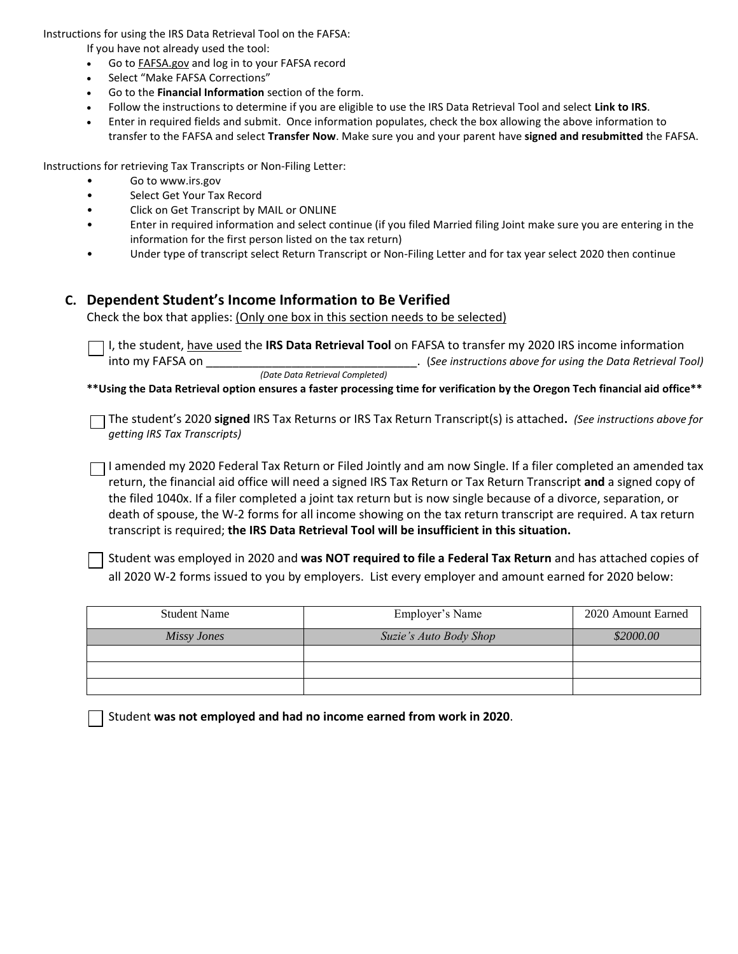Instructions for using the IRS Data Retrieval Tool on the FAFSA:

If you have not already used the tool:

- Go to FAFSA.gov and log in to your FAFSA record
- Select "Make FAFSA Corrections"
- Go to the **Financial Information** section of the form.
- Follow the instructions to determine if you are eligible to use the IRS Data Retrieval Tool and select **Link to IRS**.
- Enter in required fields and submit. Once information populates, check the box allowing the above information to transfer to the FAFSA and select **Transfer Now**. Make sure you and your parent have **signed and resubmitted** the FAFSA.

Instructions for retrieving Tax Transcripts or Non-Filing Letter:

- Go to www.irs.gov
- Select Get Your Tax Record
- Click on Get Transcript by MAIL or ONLINE
- Enter in required information and select continue (if you filed Married filing Joint make sure you are entering in the information for the first person listed on the tax return)
- Under type of transcript select Return Transcript or Non-Filing Letter and for tax year select 2020 then continue

#### **C. Dependent Student's Income Information to Be Verified**

Check the box that applies: (Only one box in this section needs to be selected)

I, the student, have used the **IRS Data Retrieval Tool** on FAFSA to transfer my 2020 IRS income information into my FAFSA on \_\_\_\_\_\_\_\_\_\_\_\_\_\_\_\_\_\_\_\_\_\_\_\_\_\_\_\_\_\_\_\_. (*See instructions above for using the Data Retrieval Tool) (Date Data Retrieval Completed)*

**\*\*Using the Data Retrieval option ensures a faster processing time for verification by the Oregon Tech financial aid office\*\***

The student's 2020 **signed** IRS Tax Returns or IRS Tax Return Transcript(s) is attached**.** *(See instructions above for getting IRS Tax Transcripts)*

 $\Box$ I amended my 2020 Federal Tax Return or Filed Jointly and am now Single. If a filer completed an amended tax return, the financial aid office will need a signed IRS Tax Return or Tax Return Transcript **and** a signed copy of the filed 1040x. If a filer completed a joint tax return but is now single because of a divorce, separation, or death of spouse, the W-2 forms for all income showing on the tax return transcript are required. A tax return transcript is required; **the IRS Data Retrieval Tool will be insufficient in this situation.**

Student was employed in 2020 and **was NOT required to file a Federal Tax Return** and has attached copies of all 2020 W-2 forms issued to you by employers. List every employer and amount earned for 2020 below:

| <b>Student Name</b> | Employer's Name        | 2020 Amount Earned |
|---------------------|------------------------|--------------------|
| Missy Jones         | Suzie's Auto Body Shop | \$2000.00          |
|                     |                        |                    |
|                     |                        |                    |
|                     |                        |                    |

Student **was not employed and had no income earned from work in 2020**.